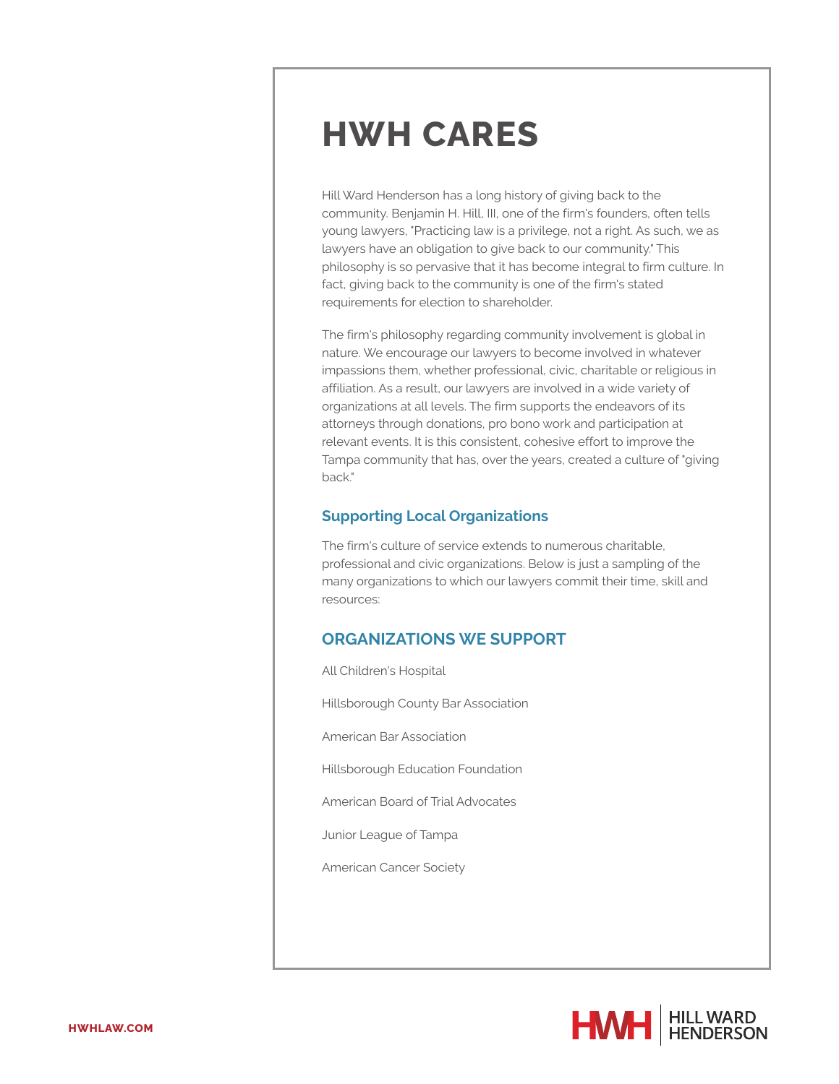Hill Ward Henderson has a long history of giving back to the community. Benjamin H. Hill, III, one of the firm's founders, often tells young lawyers, "Practicing law is a privilege, not a right. As such, we as lawyers have an obligation to give back to our community." This philosophy is so pervasive that it has become integral to firm culture. In fact, giving back to the community is one of the firm's stated requirements for election to shareholder.

The firm's philosophy regarding community involvement is global in nature. We encourage our lawyers to become involved in whatever impassions them, whether professional, civic, charitable or religious in affiliation. As a result, our lawyers are involved in a wide variety of organizations at all levels. The firm supports the endeavors of its attorneys through donations, pro bono work and participation at relevant events. It is this consistent, cohesive effort to improve the Tampa community that has, over the years, created a culture of "giving back."

#### **Supporting Local Organizations**

The firm's culture of service extends to numerous charitable, professional and civic organizations. Below is just a sampling of the many organizations to which our lawyers commit their time, skill and resources:

### **ORGANIZATIONS WE SUPPORT**

All Children's Hospital Hillsborough County Bar Association American Bar Association Hillsborough Education Foundation American Board of Trial Advocates Junior League of Tampa American Cancer Society

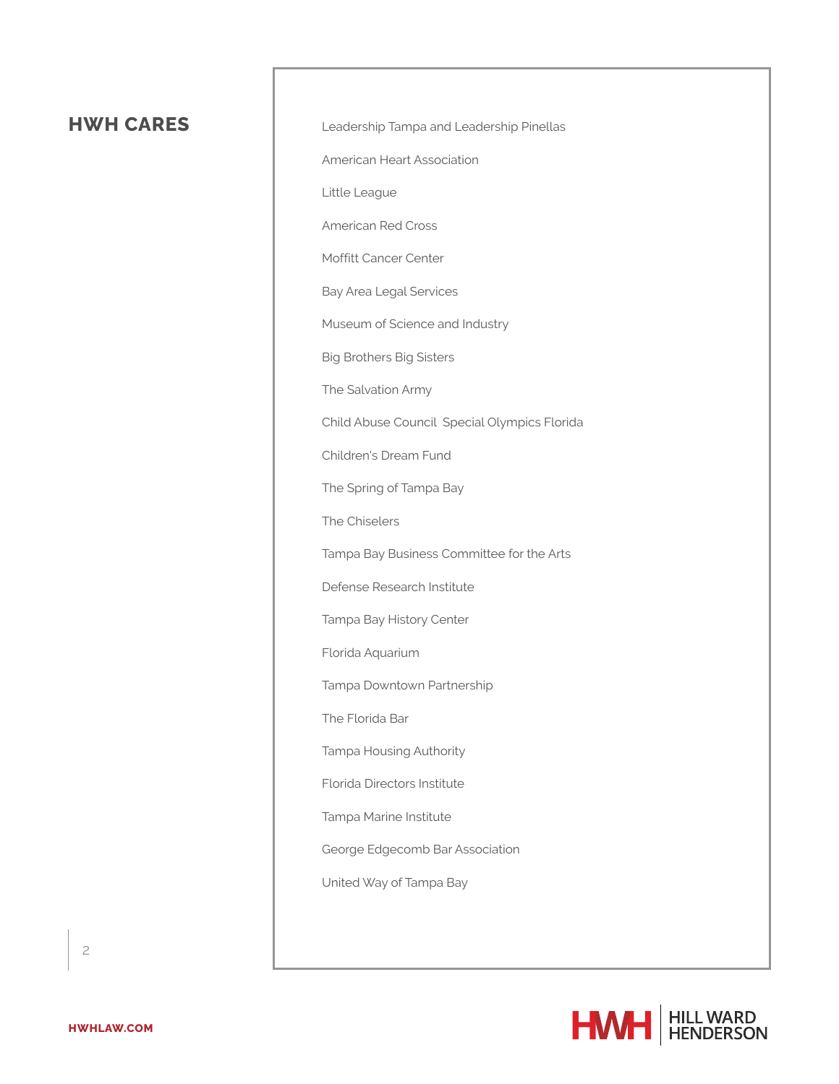Leadership Tampa and Leadership Pinellas

American Heart Association

Little League

American Red Cross

Moffitt Cancer Center

Bay Area Legal Services

Museum of Science and Industry

Big Brothers Big Sisters

The Salvation Army

Child Abuse Council Special Olympics Florida

Children's Dream Fund

The Spring of Tampa Bay

The Chiselers

Tampa Bay Business Committee for the Arts

Defense Research Institute

Tampa Bay History Center

Florida Aquarium

Tampa Downtown Partnership

The Florida Bar

Tampa Housing Authority

Florida Directors Institute

Tampa Marine Institute

George Edgecomb Bar Association

United Way of Tampa Bay

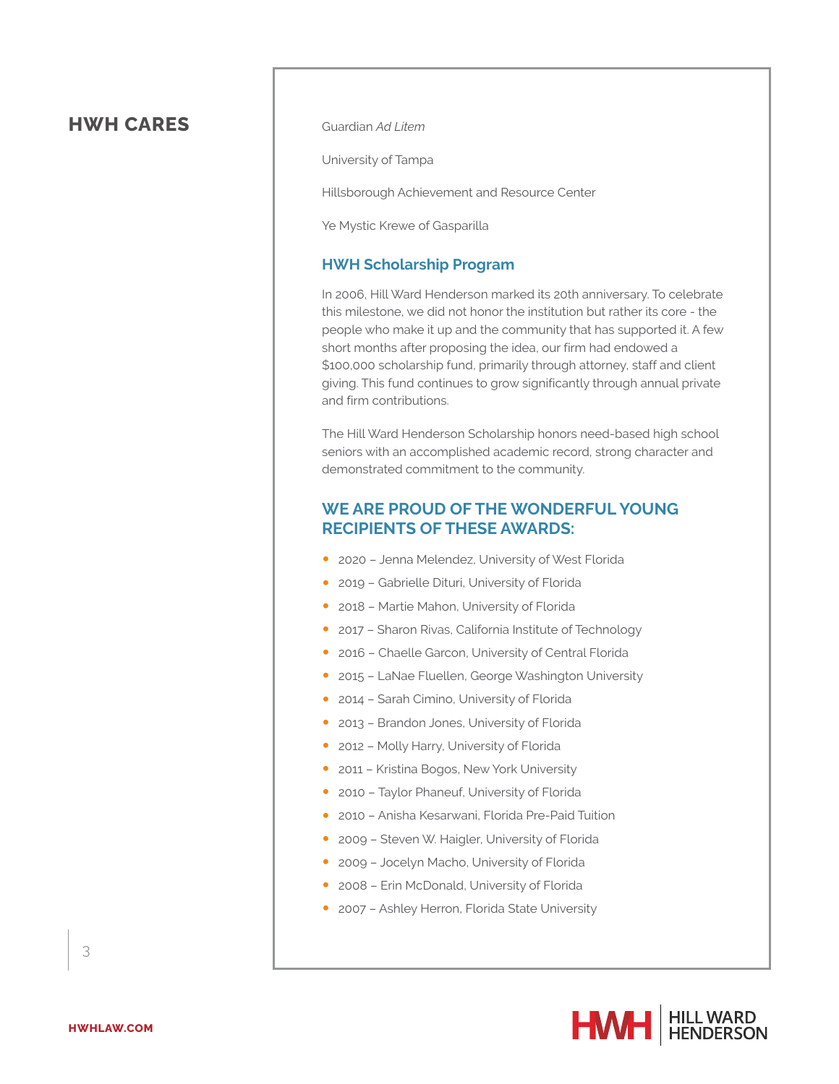Guardian *Ad Litem*

University of Tampa

Hillsborough Achievement and Resource Center

Ye Mystic Krewe of Gasparilla

#### **HWH Scholarship Program**

In 2006, Hill Ward Henderson marked its 20th anniversary. To celebrate this milestone, we did not honor the institution but rather its core - the people who make it up and the community that has supported it. A few short months after proposing the idea, our firm had endowed a \$100,000 scholarship fund, primarily through attorney, staff and client giving. This fund continues to grow significantly through annual private and firm contributions.

The Hill Ward Henderson Scholarship honors need-based high school seniors with an accomplished academic record, strong character and demonstrated commitment to the community.

#### **WE ARE PROUD OF THE WONDERFUL YOUNG RECIPIENTS OF THESE AWARDS:**

- 2020 Jenna Melendez, University of West Florida
- 2019 Gabrielle Dituri, University of Florida
- 2018 Martie Mahon, University of Florida
- 2017 Sharon Rivas, California Institute of Technology
- 2016 Chaelle Garcon, University of Central Florida
- 2015 LaNae Fluellen, George Washington University
- 2014 Sarah Cimino, University of Florida
- 2013 Brandon Jones, University of Florida
- 2012 Molly Harry, University of Florida
- 2011 Kristina Bogos, New York University
- 2010 Taylor Phaneuf, University of Florida
- 2010 Anisha Kesarwani, Florida Pre-Paid Tuition
- 2009 Steven W. Haigler, University of Florida
- 2009 Jocelyn Macho, University of Florida
- 2008 Erin McDonald, University of Florida
- 2007 Ashley Herron, Florida State University

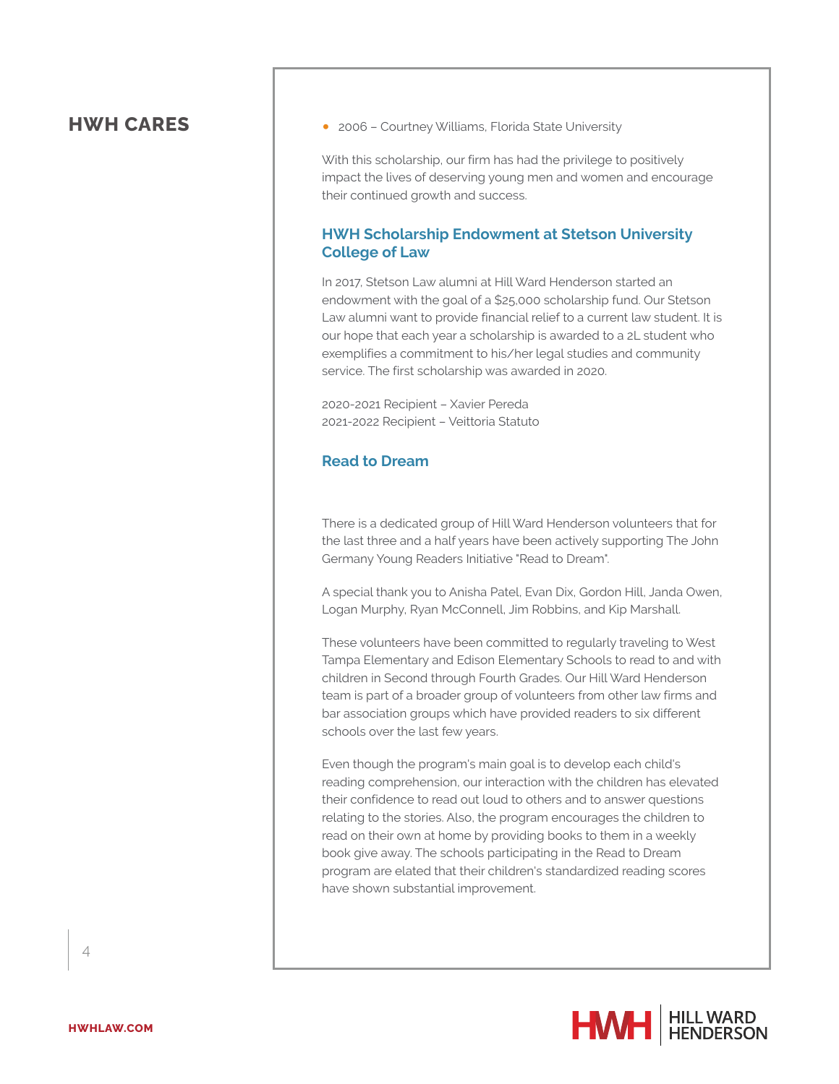● 2006 - Courtney Williams, Florida State University

With this scholarship, our firm has had the privilege to positively impact the lives of deserving young men and women and encourage their continued growth and success.

#### **HWH Scholarship Endowment at Stetson University College of Law**

In 2017, Stetson Law alumni at Hill Ward Henderson started an endowment with the goal of a \$25,000 scholarship fund. Our Stetson Law alumni want to provide financial relief to a current law student. It is our hope that each year a scholarship is awarded to a 2L student who exemplifies a commitment to his/her legal studies and community service. The first scholarship was awarded in 2020.

2020-2021 Recipient – Xavier Pereda 2021-2022 Recipient – Veittoria Statuto

#### **Read to Dream**

There is a dedicated group of Hill Ward Henderson volunteers that for the last three and a half years have been actively supporting The John Germany Young Readers Initiative "Read to Dream".

A special thank you to Anisha Patel, Evan Dix, Gordon Hill, Janda Owen, Logan Murphy, Ryan McConnell, Jim Robbins, and Kip Marshall.

These volunteers have been committed to regularly traveling to West Tampa Elementary and Edison Elementary Schools to read to and with children in Second through Fourth Grades. Our Hill Ward Henderson team is part of a broader group of volunteers from other law firms and bar association groups which have provided readers to six different schools over the last few years.

Even though the program's main goal is to develop each child's reading comprehension, our interaction with the children has elevated their confidence to read out loud to others and to answer questions relating to the stories. Also, the program encourages the children to read on their own at home by providing books to them in a weekly book give away. The schools participating in the Read to Dream program are elated that their children's standardized reading scores have shown substantial improvement.